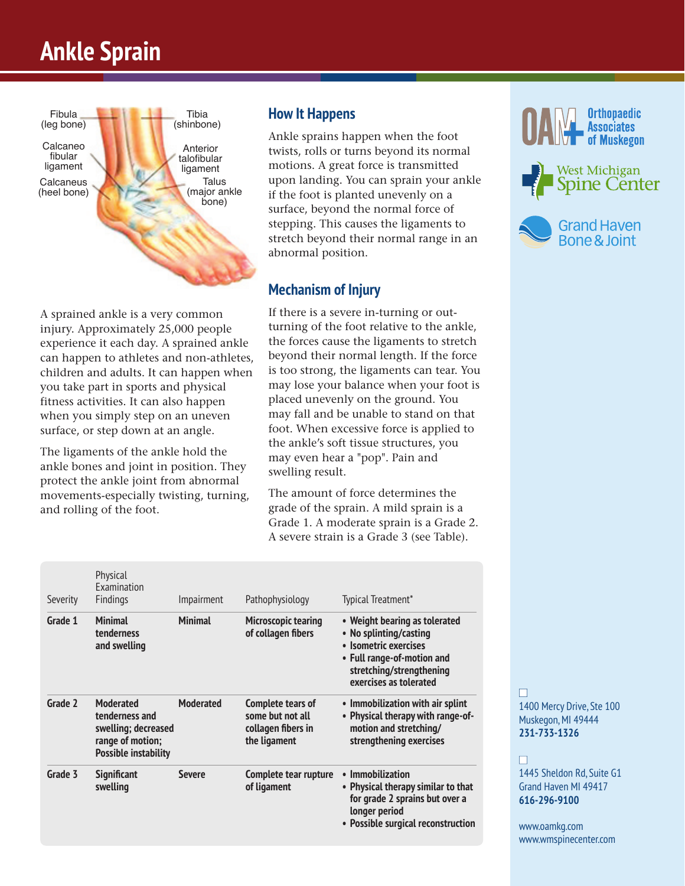# **Ankle Sprain**



**How It Happens** 

Ankle sprains happen when the foot twists, rolls or turns beyond its normal motions. A great force is transmitted upon landing. You can sprain your ankle if the foot is planted unevenly on a surface, beyond the normal force of stepping. This causes the ligaments to stretch beyond their normal range in an abnormal position.

# **Mechanism of Injury**

A sprained ankle is a very common injury. Approximately 25,000 people experience it each day. A sprained ankle can happen to athletes and non-athletes, children and adults. It can happen when you take part in sports and physical fitness activities. It can also happen when you simply step on an uneven surface, or step down at an angle.

The ligaments of the ankle hold the ankle bones and joint in position. They protect the ankle joint from abnormal movements-especially twisting, turning, and rolling of the foot.

If there is a severe in-turning or outturning of the foot relative to the ankle, the forces cause the ligaments to stretch beyond their normal length. If the force is too strong, the ligaments can tear. You may lose your balance when your foot is placed unevenly on the ground. You may fall and be unable to stand on that foot. When excessive force is applied to the ankle's soft tissue structures, you may even hear a "pop". Pain and swelling result.

The amount of force determines the grade of the sprain. A mild sprain is a Grade 1. A moderate sprain is a Grade 2. A severe strain is a Grade 3 (see Table).

 Physical Examination Severity Findings Impairment Pathophysiology Typical Treatment\* Grade 1 Minimal Minimal Microscopic tearing • Weight bearing as tolerated tenderness **and tender as a metally of collagen** fibers • No splinting/casting • No splinting/casting **and swelling • Isometric exercises • Full range-of-motion and stretching/strengthening exercises as tolerated**  Grade 2 Moderated Moderated Complete tears of **•** Immobilization with air splint tenderness and **Some but not all by** Physical therapy with range-of **• Physical therapy with range-of swelling; decreased collagen fibers in motion and stretching/ range of motion; the ligament strengthening exercises Possible instability**  Grade 3 Significant Severe Complete tear rupture • Immobilization **swelling** Severe of ligament **by Servere Server** • Physical therapy similar to that  **for grade 2 sprains but over a longer period • Possible surgical reconstruction**







n 1400 Mercy Drive, Ste 100 Muskegon, MI 49444 **231-733-1326**

#### n

1445 Sheldon Rd, Suite G1 Grand Haven MI 49417 **616-296-9100**

www.oamkg.com www.wmspinecenter.com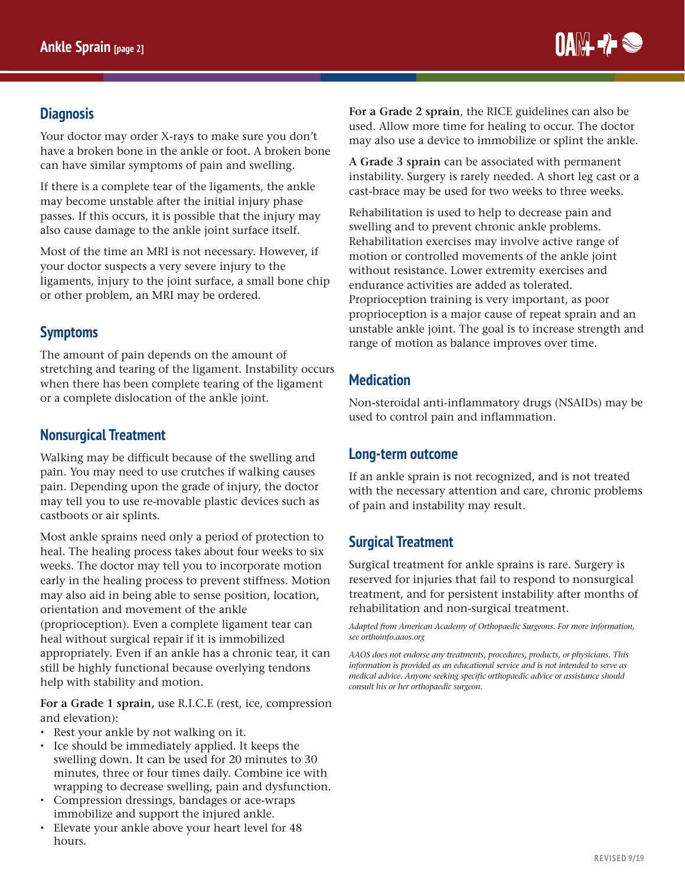

### **Diagnosis**

Your doctor may order X-rays to make sure you don't have a broken bone in the ankle or foot. A broken bone can have similar symptoms of pain and swelling.

If there is a complete tear of the ligaments, the ankle may become unstable after the initial injury phase passes. If this occurs, it is possible that the injury may also cause damage to the ankle joint surface itself.

Most of the time an MRI is not necessary. However, if your doctor suspects a very severe injury to the ligaments, injury to the joint surface, a small bone chip or other problem, an MRI may be ordered.

# **Symptoms**

The amount of pain depends on the amount of stretching and tearing of the ligament. Instability occurs when there has been complete tearing of the ligament or a complete dislocation of the ankle joint.

#### **Nonsurgical Treatment**

Walking may be difficult because of the swelling and pain. You may need to use crutches if walking causes pain. Depending upon the grade of injury, the doctor may tell you to use re-movable plastic devices such as castboots or air splints.

Most ankle sprains need only a period of protection to heal. The healing process takes about four weeks to six weeks. The doctor may tell you to incorporate motion early in the healing process to prevent stiffness. Motion may also aid in being able to sense position, location, orientation and movement of the ankle (proprioception). Even a complete ligament tear can heal without surgical repair if it is immobilized appropriately. Even if an ankle has a chronic tear, it can still be highly functional because overlying tendons help with stability and motion.

**For a Grade 1 sprain,** use R.I.C.E (rest, ice, compression and elevation):

- Rest your ankle by not walking on it.
- Ice should be immediately applied. It keeps the swelling down. It can be used for 20 minutes to 30 minutes, three or four times daily. Combine ice with wrapping to decrease swelling, pain and dysfunction.
- Compression dressings, bandages or ace-wraps immobilize and support the injured ankle.
- Elevate your ankle above your heart level for 48 hours.

**For a Grade 2 sprain**, the RICE guidelines can also be used. Allow more time for healing to occur. The doctor may also use a device to immobilize or splint the ankle.

**A Grade 3 sprain** can be associated with permanent instability. Surgery is rarely needed. A short leg cast or a cast-brace may be used for two weeks to three weeks.

Rehabilitation is used to help to decrease pain and swelling and to prevent chronic ankle problems. Rehabilitation exercises may involve active range of motion or controlled movements of the ankle joint without resistance. Lower extremity exercises and endurance activities are added as tolerated. Proprioception training is very important, as poor proprioception is a major cause of repeat sprain and an unstable ankle joint. The goal is to increase strength and range of motion as balance improves over time.

#### **Medication**

Non-steroidal anti-inflammatory drugs (NSAIDs) may be used to control pain and inflammation.

#### **Long-term outcome**

If an ankle sprain is not recognized, and is not treated with the necessary attention and care, chronic problems of pain and instability may result.

# **Surgical Treatment**

Surgical treatment for ankle sprains is rare. Surgery is reserved for injuries that fail to respond to nonsurgical treatment, and for persistent instability after months of rehabilitation and non-surgical treatment.

*Adapted from American Academy of Orthopaedic Surgeons. For more information, see orthoinfo.aaos.org* 

*AAOS does not endorse any treatments, procedures, products, or physicians. This information is provided as an educational service and is not intended to serve as medical advice. Anyone seeking specific orthopaedic advice or assistance should consult his or her orthopaedic surgeon.*